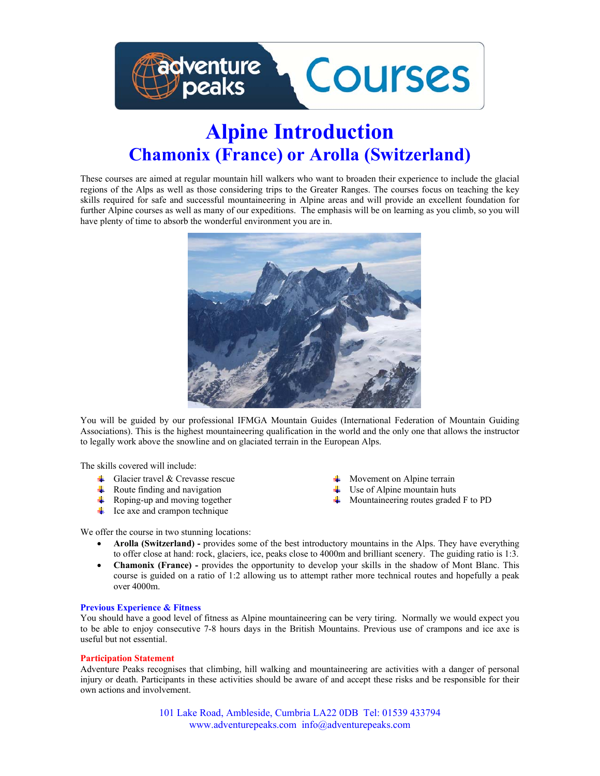

# **Alpine Introduction Chamonix (France) or Arolla (Switzerland)**

These courses are aimed at regular mountain hill walkers who want to broaden their experience to include the glacial regions of the Alps as well as those considering trips to the Greater Ranges. The courses focus on teaching the key skills required for safe and successful mountaineering in Alpine areas and will provide an excellent foundation for further Alpine courses as well as many of our expeditions. The emphasis will be on learning as you climb, so you will have plenty of time to absorb the wonderful environment you are in.



You will be guided by our professional IFMGA Mountain Guides (International Federation of Mountain Guiding Associations). This is the highest mountaineering qualification in the world and the only one that allows the instructor to legally work above the snowline and on glaciated terrain in the European Alps.

The skills covered will include:

- Glacier travel & Crevasse rescue 4
- Route finding and navigation ÷
- ₩. Roping-up and moving together
- $\downarrow$  Ice axe and crampon technique
- Movement on Alpine terrain
- $\downarrow$  Use of Alpine mountain huts
- Mountaineering routes graded F to PD

We offer the course in two stunning locations:

- **Arolla (Switzerland) -** provides some of the best introductory mountains in the Alps. They have everything to offer close at hand: rock, glaciers, ice, peaks close to 4000m and brilliant scenery. The guiding ratio is 1:3.
- **Chamonix (France) -** provides the opportunity to develop your skills in the shadow of Mont Blanc. This course is guided on a ratio of 1:2 allowing us to attempt rather more technical routes and hopefully a peak over 4000m.

#### **Previous Experience & Fitness**

You should have a good level of fitness as Alpine mountaineering can be very tiring. Normally we would expect you to be able to enjoy consecutive 7-8 hours days in the British Mountains. Previous use of crampons and ice axe is useful but not essential.

#### **Participation Statement**

Adventure Peaks recognises that climbing, hill walking and mountaineering are activities with a danger of personal injury or death. Participants in these activities should be aware of and accept these risks and be responsible for their own actions and involvement.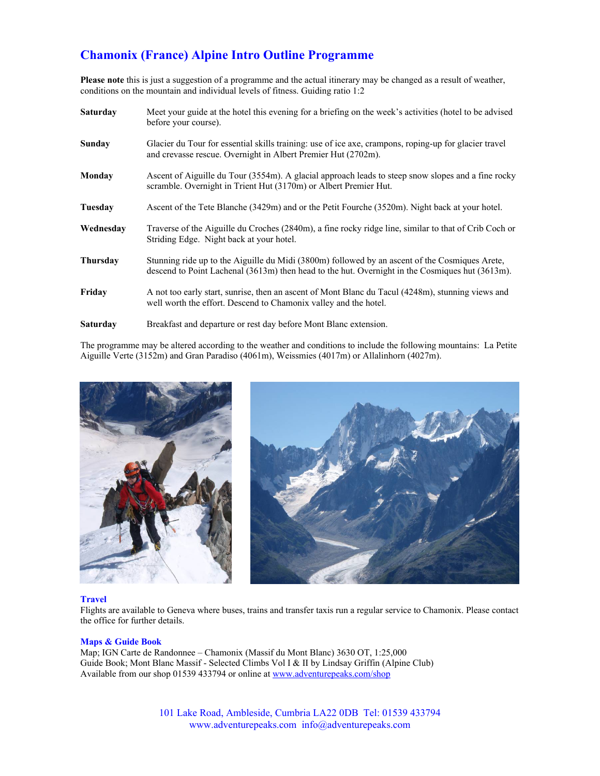## **Chamonix (France) Alpine Intro Outline Programme**

**Please note** this is just a suggestion of a programme and the actual itinerary may be changed as a result of weather, conditions on the mountain and individual levels of fitness. Guiding ratio 1:2

| <b>Saturday</b> | Meet your guide at the hotel this evening for a briefing on the week's activities (hotel to be advised<br>before your course).                                                                    |
|-----------------|---------------------------------------------------------------------------------------------------------------------------------------------------------------------------------------------------|
| <b>Sunday</b>   | Glacier du Tour for essential skills training: use of ice axe, crampons, roping-up for glacier travel<br>and crevasse rescue. Overnight in Albert Premier Hut (2702m).                            |
| Monday          | Ascent of Aiguille du Tour (3554m). A glacial approach leads to steep snow slopes and a fine rocky<br>scramble. Overnight in Trient Hut (3170m) or Albert Premier Hut.                            |
| Tuesday         | Ascent of the Tete Blanche (3429m) and or the Petit Fourche (3520m). Night back at your hotel.                                                                                                    |
| Wednesday       | Traverse of the Aiguille du Croches (2840m), a fine rocky ridge line, similar to that of Crib Coch or<br>Striding Edge. Night back at your hotel.                                                 |
| <b>Thursday</b> | Stunning ride up to the Aiguille du Midi (3800m) followed by an ascent of the Cosmiques Arete,<br>descend to Point Lachenal (3613m) then head to the hut. Overnight in the Cosmiques hut (3613m). |
| Friday          | A not too early start, sunrise, then an ascent of Mont Blanc du Tacul (4248m), stunning views and<br>well worth the effort. Descend to Chamonix valley and the hotel.                             |
| <b>Saturday</b> | Breakfast and departure or rest day before Mont Blanc extension.                                                                                                                                  |

The programme may be altered according to the weather and conditions to include the following mountains: La Petite Aiguille Verte (3152m) and Gran Paradiso (4061m), Weissmies (4017m) or Allalinhorn (4027m).



#### **Travel**

Flights are available to Geneva where buses, trains and transfer taxis run a regular service to Chamonix. Please contact the office for further details.

#### **Maps & Guide Book**

Map; IGN Carte de Randonnee – Chamonix (Massif du Mont Blanc) 3630 OT, 1:25,000 Guide Book; Mont Blanc Massif - Selected Climbs Vol I & II by Lindsay Griffin (Alpine Club) Available from our shop 01539 433794 or online at www.adventurepeaks.com/shop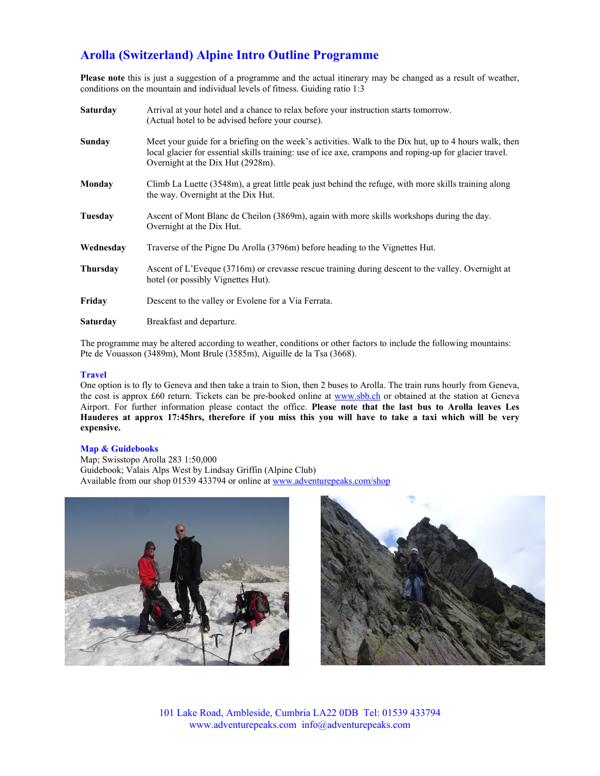## **Arolla (Switzerland) Alpine Intro Outline Programme**

**Please note** this is just a suggestion of a programme and the actual itinerary may be changed as a result of weather, conditions on the mountain and individual levels of fitness. Guiding ratio 1:3

| <b>Saturday</b> | Arrival at your hotel and a chance to relax before your instruction starts tomorrow.<br>(Actual hotel to be advised before your course).                                                                                                               |
|-----------------|--------------------------------------------------------------------------------------------------------------------------------------------------------------------------------------------------------------------------------------------------------|
| Sunday          | Meet your guide for a briefing on the week's activities. Walk to the Dix hut, up to 4 hours walk, then<br>local glacier for essential skills training: use of ice axe, crampons and roping-up for glacier travel.<br>Overnight at the Dix Hut (2928m). |
| Monday          | Climb La Luette (3548m), a great little peak just behind the refuge, with more skills training along<br>the way. Overnight at the Dix Hut.                                                                                                             |
| Tuesday         | Ascent of Mont Blanc de Cheilon (3869m), again with more skills workshops during the day.<br>Overnight at the Dix Hut.                                                                                                                                 |
| Wednesdav       | Traverse of the Pigne Du Arolla (3796m) before heading to the Vignettes Hut.                                                                                                                                                                           |
| <b>Thursday</b> | Ascent of L'Eveque (3716m) or crevasse rescue training during descent to the valley. Overnight at<br>hotel (or possibly Vignettes Hut).                                                                                                                |
| Friday          | Descent to the valley or Evolene for a Via Ferrata.                                                                                                                                                                                                    |
| Saturday        | Breakfast and departure.                                                                                                                                                                                                                               |

The programme may be altered according to weather, conditions or other factors to include the following mountains: Pte de Vouasson (3489m), Mont Brule (3585m), Aiguille de la Tsa (3668).

#### **Travel**

One option is to fly to Geneva and then take a train to Sion, then 2 buses to Arolla. The train runs hourly from Geneva, the cost is approx £60 return. Tickets can be pre-booked online at www.sbb.ch or obtained at the station at Geneva Airport. For further information please contact the office. **Please note that the last bus to Arolla leaves Les Hauderes at approx 17:45hrs, therefore if you miss this you will have to take a taxi which will be very expensive.** 

#### **Map & Guidebooks**

Map; Swisstopo Arolla 283 1:50,000 Guidebook; Valais Alps West by Lindsay Griffin (Alpine Club) Available from our shop 01539 433794 or online at www.adventurepeaks.com/shop